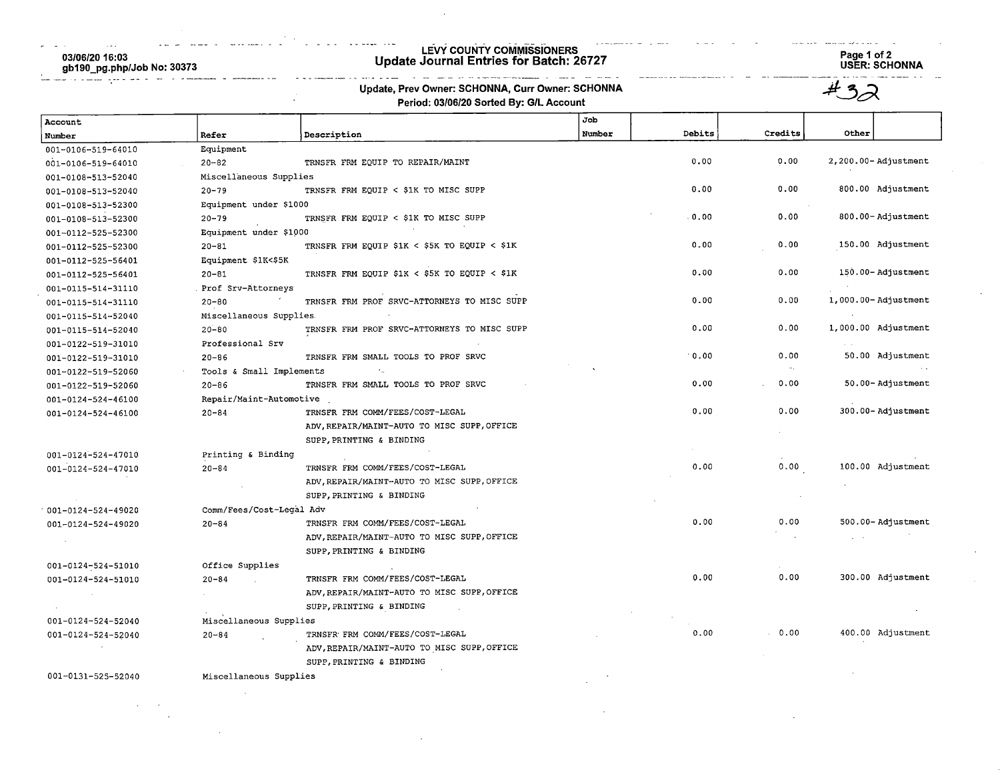03/06/20 16:03 gb190\_pg.php/Job No: 30373

 $\sim 100$ 

لمداح كفاء موج استشادات سد

 $\sim$   $\sim$ 

الداسمين الداعدة

a production is interesting to a

# LEVY COUNTY COMiyilSSIONERS Update Journal Entries for Batch: 26727 Page 1 of 2

USER: SCHONNA

 $\sim$ 

#### $\sim$

ماليت أدرار التقارب للمتناول للدما

**Service** St

 $\sim$ 

and the company of the company  $+32$ 

and the same of the second second to the con-

#### Update, Prev Owner: SCHONNA, Curr Owner: SCHONNA Period: 03/06/20 Sorted By: G/L Account

 $\label{eq:3.1} \omega^{(p)} = \pi^{(p)} \otimes \pi^{(p)} \otimes \pi^{(p)} \otimes \cdots \otimes \pi^{(p)} \otimes \pi^{(p)} \otimes \pi^{(p)} \otimes \cdots \otimes \pi^{(p)} \otimes \cdots \otimes \pi^{(p)} \otimes \pi^{(p)} \otimes \cdots \otimes \pi^{(p)} \otimes \pi^{(p)} \otimes \cdots \otimes \pi^{(p)} \otimes \pi^{(p)} \otimes \cdots \otimes \pi^{(p)} \otimes \pi^{(p)} \otimes \cdots \otimes \pi^{(p)} \otimes \pi^{(p)} \otimes \cdots \otimes \pi^{$ 

|                    |                          | Period. 03/00/20 Sorted By. S/L Account      |        |        |                    |                     |
|--------------------|--------------------------|----------------------------------------------|--------|--------|--------------------|---------------------|
| Account            |                          |                                              | Job    |        |                    |                     |
| Number             | Refer                    | Description                                  | Number | Debits | Credits            | Other               |
| 001-0106-519-64010 | Equipment                |                                              |        |        |                    |                     |
| 001-0106-519-64010 | $20 - 82$                | TRNSFR FRM EQUIP TO REPAIR/MAINT             |        | 0.00   | 0.00               | 2,200.00-Adjustment |
| 001-0108-513-52040 | Miscellaneous Supplies   |                                              |        |        |                    |                     |
| 001-0108-513-52040 | $20 - 79$                | TRNSFR FRM EQUIP < \$1K TO MISC SUPP         |        | 0.00   | 0.00               | 800.00 Adjustment   |
| 001-0108-513-52300 | Equipment under \$1000   |                                              |        |        |                    |                     |
| 001-0108-513-52300 | $20 - 79$                | TRNSFR FRM EQUIP < \$1K TO MISC SUPP         |        | 0.00   | 0.00               | 800.00-Adjustment   |
| 001-0112-525-52300 | Equipment under \$1000   |                                              |        |        |                    |                     |
| 001-0112-525-52300 | $20 - 81$                | TRNSFR FRM EOUIP \$1K < \$5K TO EQUIP < \$1K |        | 0.00   | 0.00               | 150.00 Adjustment   |
| 001-0112-525-56401 | Equipment \$1K<\$5K      |                                              |        |        |                    |                     |
| 001-0112-525-56401 | $20 - 81$                | TRNSFR FRM EQUIP \$1K < \$5K TO EQUIP < \$1K |        | 0.00   | 0.00               | 150.00-Adjustment   |
| 001-0115-514-31110 | Prof Srv-Attorneys       |                                              |        |        |                    |                     |
| 001-0115-514-31110 | $20 - 80$                | TRNSFR FRM PROF SRVC-ATTORNEYS TO MISC SUPP  |        | 0.00   | 0.00               | 1,000.00-Adjustment |
| 001-0115-514-52040 | Miscellaneous Supplies   |                                              |        |        |                    |                     |
| 001-0115-514-52040 | $20 - 80$                | TRNSFR FRM PROF SRVC-ATTORNEYS TO MISC SUPP  |        | 0.00   | 0.00               | 1,000.00 Adjustment |
| 001-0122-519-31010 | Professional Srv         |                                              |        |        |                    |                     |
| 001-0122-519-31010 | $20 - 86$                | TRNSFR FRM SMALL TOOLS TO PROF SRVC          |        | 0.00   | 0.00               | 50.00 Adjustment    |
| 001-0122-519-52060 | Tools & Small Implements | $\mathcal{F}_{\rm int}$                      |        |        | $\sigma_{\rm{in}}$ |                     |
| 001-0122-519-52060 | $20 - 86$                | TRNSFR FRM SMALL TOOLS TO PROF SRVC          |        | 0.00   | 0.00               | 50.00-Adjustment    |
| 001-0124-524-46100 | Repair/Maint-Automotive  |                                              |        |        |                    |                     |
| 001-0124-524-46100 | $20 - 84$                | TRNSFR FRM COMM/FEES/COST-LEGAL              |        | 0.00   | 0.00               | 300.00-Adjustment   |
|                    |                          | ADV, REPAIR/MAINT-AUTO TO MISC SUPP, OFFICE  |        |        |                    |                     |
|                    |                          | SUPP, PRINTING & BINDING                     |        |        |                    |                     |
| 001-0124-524-47010 | Printing & Binding       |                                              |        |        |                    |                     |
| 001-0124-524-47010 | $20 - 84$                | TRNSFR FRM COMM/FEES/COST-LEGAL              |        | 0.00   | 0.00               | 100.00 Adjustment   |
|                    |                          | ADV, REPAIR/MAINT-AUTO TO MISC SUPP, OFFICE  |        |        |                    |                     |
|                    |                          | SUPP, PRINTING & BINDING                     |        |        |                    |                     |
| 001-0124-524-49020 | Comm/Fees/Cost-Legal Adv |                                              |        |        |                    |                     |
| 001-0124-524-49020 | $20 - 84$                | TRNSFR FRM COMM/FEES/COST-LEGAL              |        | 0.00   | 0.00               | 500.00-Adjustment   |
|                    |                          | ADV, REPAIR/MAINT-AUTO TO MISC SUPP, OFFICE  |        |        |                    |                     |
|                    |                          | SUPP, PRINTING & BINDING                     |        |        |                    |                     |
| 001-0124-524-51010 | Office Supplies          |                                              |        |        |                    |                     |
| 001-0124-524-51010 | $20 - 84$                | TRNSFR FRM COMM/FEES/COST-LEGAL              |        | 0.00   | 0.00               | 300.00 Adjustment   |
|                    |                          | ADV, REPAIR/MAINT-AUTO TO MISC SUPP, OFFICE  |        |        |                    |                     |
|                    |                          | SUPP, PRINTING & BINDING                     |        |        |                    |                     |
| 001-0124-524-52040 | Miscellaneous Supplies   |                                              |        |        |                    |                     |
| 001-0124-524-52040 | $20 - 84$                | TRNSFR FRM COMM/FEES/COST-LEGAL              |        | 0.00   | 0.00               | 400.00 Adjustment   |

ADV,REPAIR/MAINT-AUTO TO MISC SUPP,OFFICE

SUPP,PRINTING & BINDING

and the season of the

- - - - - - - - - - - - - - - - - - -

001-0131-525-52040 Miscellaneous Supplies

 $\sim$ 

 $\sim$   $\sim$  $\sim 100$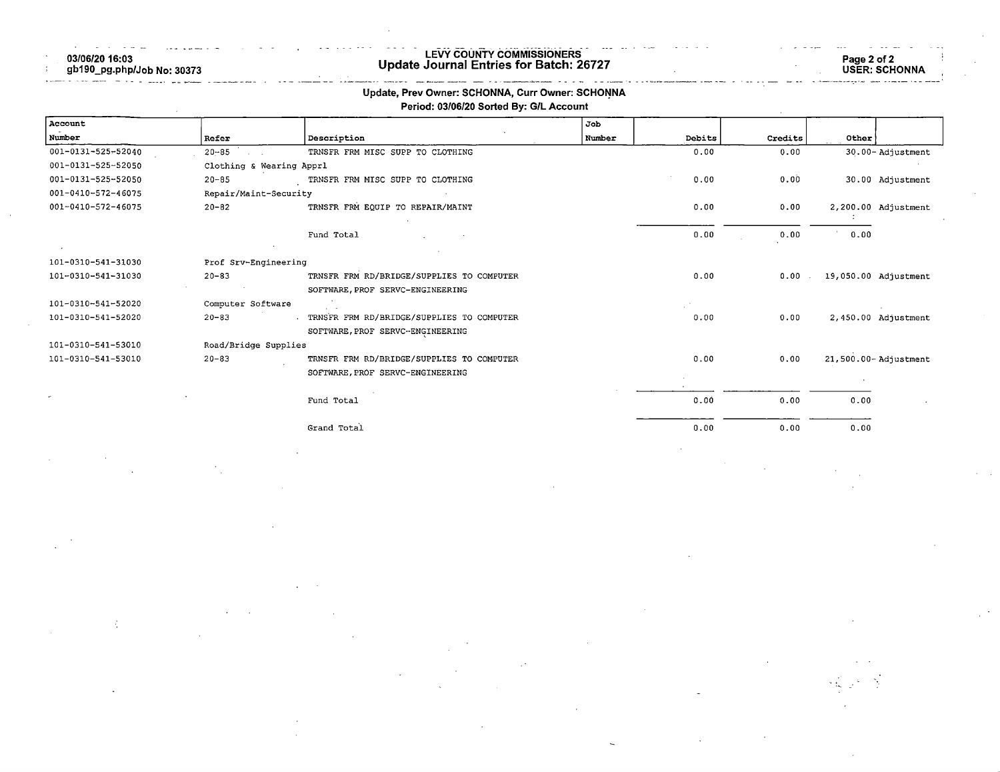03/06/20 16:03

gb190\_pg.php/Job No: 30373

the company and the

# LEVY COUNTY COMMISSIONERS Update Journal Entries for Batch: 26727 Page 2 of 2

المالي المناسب

 $\sim$   $\sim$   $\sim$ 

Page 2 of 2<br>USER: SCHONNA

#### Update, Prev Owner: SCHONNA, Curr Owner: SCHONNA Period: 03/06/20 Sorted By: G/L Account

| Account            |                          |                                           | Job    |        |         |                             |
|--------------------|--------------------------|-------------------------------------------|--------|--------|---------|-----------------------------|
| Number             | Refer                    | Description                               | Number | Debits | Credits | Other                       |
| 001-0131-525-52040 | $20 - 85$                | TRNSFR FRM MISC SUPP TO CLOTHING          |        | 0.00   | 0.00    | 30.00-Adjustment            |
| 001-0131-525-52050 | Clothing & Wearing Apprl |                                           |        |        |         |                             |
| 001-0131-525-52050 | $20 - 85$                | TRNSFR FRM MISC SUPP TO CLOTHING          |        | 0.00   | 0.00    | 30.00 Adjustment            |
| 001-0410-572-46075 | Repair/Maint-Security    |                                           |        |        |         |                             |
| 001-0410-572-46075 | $20 - 82$                | TRNSFR FRM EQUIP TO REPAIR/MAINT          |        | 0.00   | 0.00    | 2,200.00 Adjustment         |
|                    |                          | Fund Total                                |        | 0.00   | 0.00    | 0.00                        |
| 101-0310-541-31030 | Prof Srv-Engineering     |                                           |        |        |         |                             |
| 101-0310-541-31030 | $20 - 83$                | TRNSFR FRM RD/BRIDGE/SUPPLIES TO COMPUTER |        | 0.00   |         | 0.00 . 19,050.00 Adjustment |
|                    | $\sim$ 10 $\pm$          | SOFTWARE, PROF SERVC-ENGINEERING          |        |        |         |                             |
| 101-0310-541-52020 | Computer Software        |                                           |        |        |         |                             |
| 101-0310-541-52020 | $20 - 83$                | TRNSFR FRM RD/BRIDGE/SUPPLIES TO COMPUTER |        | 0.00   | 0.00    | 2,450.00 Adjustment         |
|                    |                          | SOFTWARE, PROF SERVC-ENGINEERING          |        |        |         |                             |
| 101-0310-541-53010 | Road/Bridge Supplies     |                                           |        |        |         |                             |
| 101-0310-541-53010 | $20 - 83$                | TRNSFR FRM RD/BRIDGE/SUPPLIES TO COMPUTER |        | 0.00   | 0.00    | 21,500.00-Adjustment        |
|                    |                          | SOFTWARE, PROF SERVC-ENGINEERING          |        |        |         |                             |
|                    |                          | Fund Total                                |        | 0.00   | 0.00    | 0.00                        |
|                    |                          | Grand Total                               |        | 0.00   | 0.00    | 0.00                        |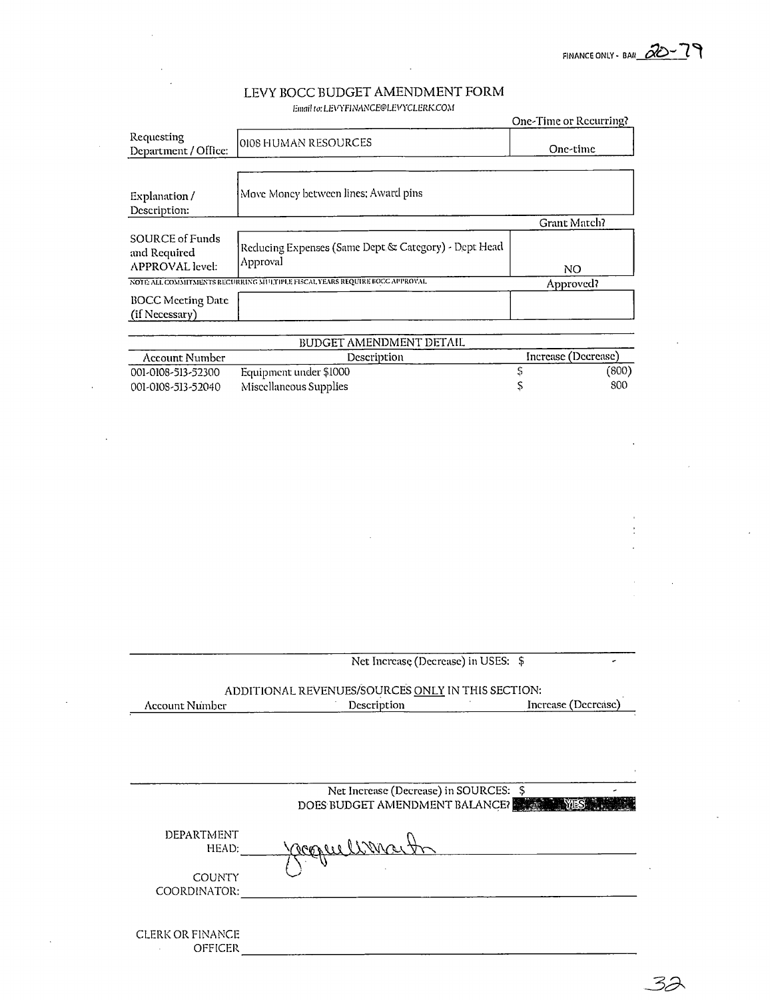$\frac{1}{\tau}$  $\ddot{\phantom{a}}$ 

## LEVY BOCC BUDGET AMENDMENT FORM

Email to: LEVYFINANCE@LEVYCLERK.COM

|                                                           |                                                                            | One-Time or Recurring? |
|-----------------------------------------------------------|----------------------------------------------------------------------------|------------------------|
| Requesting<br>Department / Office:                        | 0108 HUMAN RESOURCES                                                       | One-time               |
| Explanation/<br>Description:                              | Move Money between lines; Award pins                                       |                        |
|                                                           |                                                                            | Grant Match?           |
| SOURCE of Funds<br>and Required<br><b>APPROVAL</b> level: | Reducing Expenses (Same Dept & Category) - Dept Head<br>Approval           | NO.                    |
|                                                           | NOTE ALL COMMITMENTS RECURRING MULTIPLE FISCAL YEARS REQUIRE BOCC APPROVAL | Approved?              |
| <b>BOCC Meeting Date</b><br>(if Necessary)                |                                                                            |                        |
|                                                           |                                                                            |                        |

|                    | BUDGET AMENDMENT DETAIL |                     |
|--------------------|-------------------------|---------------------|
| Account Number     | Description             | Increase (Decrease) |
| 001-0108-513-52300 | Equipment under \$1000  | (800)               |
| 001-0108-513-52040 | Miscellaneous Supplies  | 800                 |

|                         | Net Increase (Decrease) in USES: \$               |                     |  |  |  |  |
|-------------------------|---------------------------------------------------|---------------------|--|--|--|--|
|                         | ADDITIONAL REVENUES/SOURCES ONLY IN THIS SECTION: |                     |  |  |  |  |
| <b>Account Number</b>   | Description                                       | Increase (Decrease) |  |  |  |  |
|                         |                                                   |                     |  |  |  |  |
|                         |                                                   |                     |  |  |  |  |
|                         |                                                   |                     |  |  |  |  |
|                         |                                                   |                     |  |  |  |  |
|                         | Net Increase (Decrease) in SOURCES: \$            |                     |  |  |  |  |
|                         | DOES BUDGET AMENDMENT BALANCE?                    |                     |  |  |  |  |
| DEPARTMENT              |                                                   |                     |  |  |  |  |
| HEAD:                   | Joonee Wince                                      |                     |  |  |  |  |
|                         |                                                   |                     |  |  |  |  |
| <b>COUNTY</b>           |                                                   |                     |  |  |  |  |
| COORDINATOR:            |                                                   |                     |  |  |  |  |
|                         |                                                   |                     |  |  |  |  |
| <b>CLERK OR FINANCE</b> |                                                   |                     |  |  |  |  |
| OFFICER                 |                                                   |                     |  |  |  |  |

32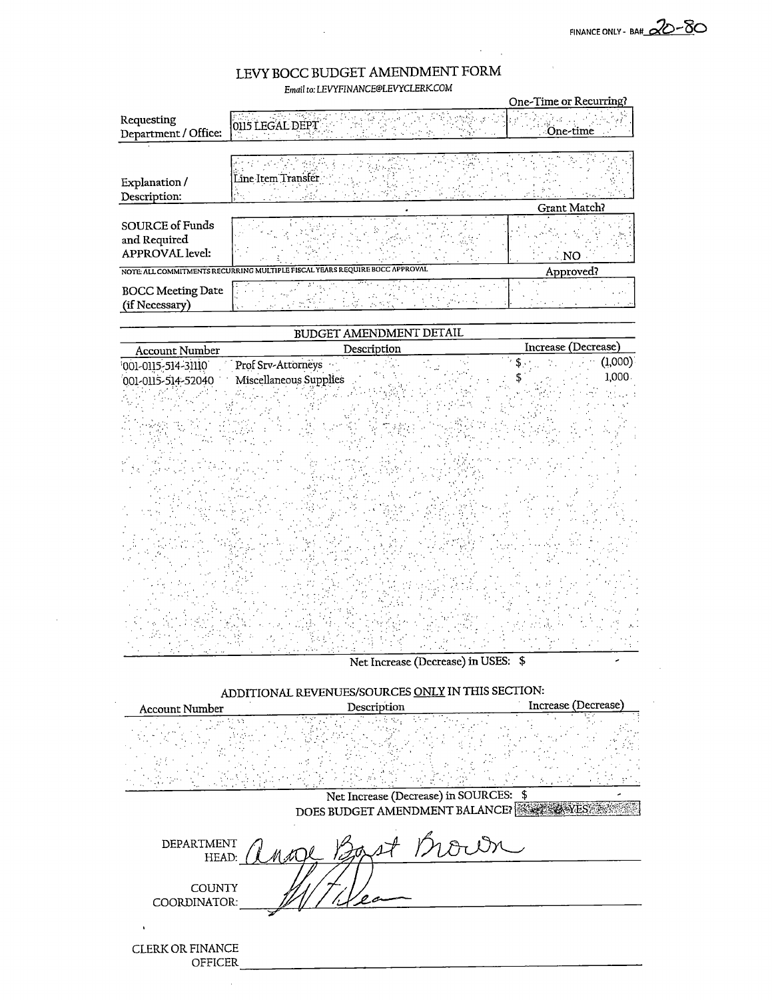o - •- o oo

# LEVY BOCC BUDGET AMENDMENT FORM

Email to; L£VYFINANCE@LEVYCLERKCOM

|                                                                  |                                                                             | One-Time or Recurring? |
|------------------------------------------------------------------|-----------------------------------------------------------------------------|------------------------|
| Requesting<br>Department / Office:                               | 0115 LEGAL DEPT                                                             | One-time               |
|                                                                  |                                                                             |                        |
| Explanation /<br>Description:                                    | Line Item Transfer                                                          |                        |
|                                                                  |                                                                             | Grant Match?           |
| <b>SOURCE of Funds</b><br>and Required<br><b>APPROVAL</b> level: |                                                                             | $\sim$ NO              |
|                                                                  | NOTE: ALL COMMITMENTS RECURRING MULTIPLE FISCAL YEARS REQUIRE BOCC APPROVAL | Approved?              |
| <b>BOCC Meeting Date</b><br>(if Necessary)                       |                                                                             |                        |
|                                                                  |                                                                             |                        |
|                                                                  | BUDGET AMENDMENT DETAIL                                                     |                        |
| <b>Account Number</b>                                            | Description                                                                 | Increase (Decrease)    |
| 001-0115-514-31110                                               | Prof Srv-Attorneys                                                          | (1,000)                |
| 001-0115-514-52040                                               | Miscellaneous Supplies                                                      | 1,000.                 |
|                                                                  |                                                                             |                        |
|                                                                  |                                                                             |                        |

Net Increase (Decrease) in USES: \$

ADDITIONAL REVENUES/SOURCES ONLY IN THIS SECTION:

| <b>Account Number</b>                                  | Description                            | Increase (Decrease) |
|--------------------------------------------------------|----------------------------------------|---------------------|
|                                                        |                                        |                     |
|                                                        | Net Increase (Decrease) in SOURCES: \$ |                     |
|                                                        | DOES BUDGET AMENDMENT BALANCE?         |                     |
| DEPARTMENT<br>HEAD: /<br><b>COUNTY</b><br>COORDINATOR: | Brown                                  |                     |
| <b>CLERK OR FINANCE</b><br><b>OFFICER</b>              |                                        |                     |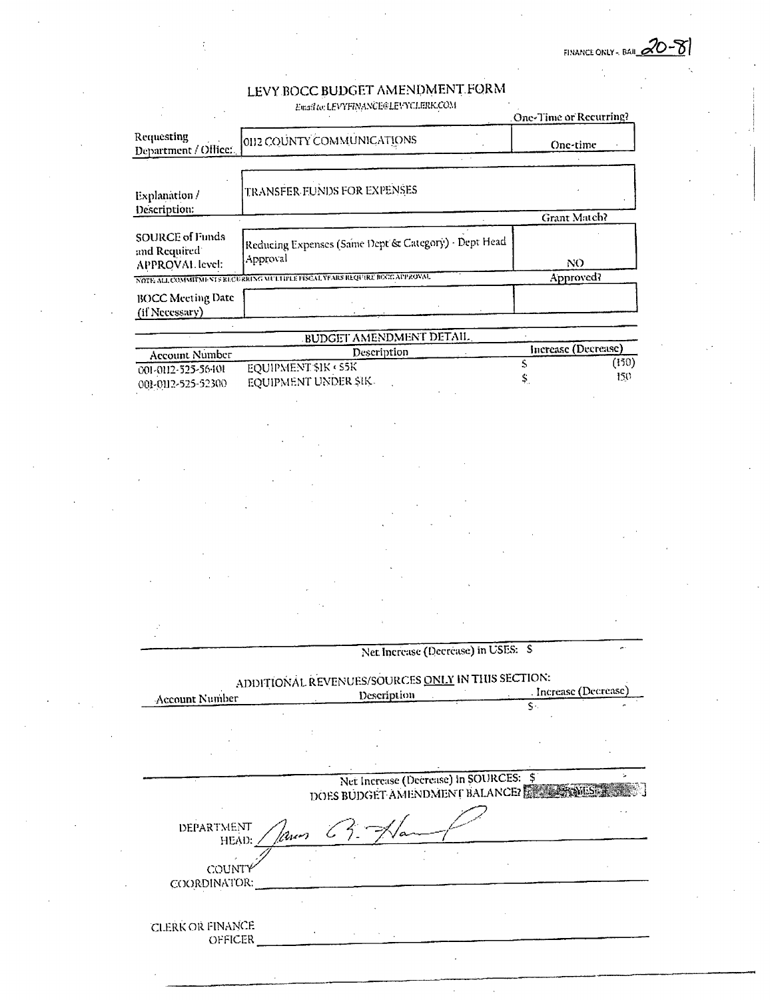XI FINANCE ONLY - BAIL

Email to: LEVYFINANCE@LEVYCLERK.COM

|                                                    |                                                                                                                                                 | One-Time or Recurring?   |       |
|----------------------------------------------------|-------------------------------------------------------------------------------------------------------------------------------------------------|--------------------------|-------|
| Requesting<br>Department / Office:                 | 0112 COUNTY COMMUNICATIONS                                                                                                                      | One-time                 |       |
| Explanation /                                      | TRANSFER EUNDS FOR EXPENSES                                                                                                                     |                          |       |
| Description:                                       |                                                                                                                                                 | <b>Grant Match?</b>      |       |
| SOURCE of Funds<br>and Required<br>APPROVAL level: | Reducing Expenses (Same Dept'& Category) · Dept Head<br>Approval<br>NOTE ALL COMMITME VES REGURRING MULTIPLE PISCAL YFARS REQUIRE BOOK APPROVAL | NO.<br>Approved?         |       |
|                                                    |                                                                                                                                                 |                          |       |
| <b>BOCC Meeting Date</b><br>(if Necessary)         |                                                                                                                                                 |                          |       |
|                                                    | <b>BUDGET AMENDMENT DETAIL</b>                                                                                                                  |                          |       |
| <b>Account Number</b>                              | Description                                                                                                                                     | Increase (Decrease)      |       |
| 001-0112-525-56-101                                | EQUIPMENT SIK < S5K                                                                                                                             | $\overline{\mathcal{S}}$ | (150) |
| 001-0112-525-52300                                 | EQUIPMENT UNDER SIK-                                                                                                                            | \$.,                     | 150   |
|                                                    |                                                                                                                                                 |                          |       |
|                                                    |                                                                                                                                                 |                          |       |
|                                                    |                                                                                                                                                 |                          |       |
|                                                    |                                                                                                                                                 |                          |       |
|                                                    |                                                                                                                                                 |                          |       |
|                                                    |                                                                                                                                                 |                          |       |
|                                                    |                                                                                                                                                 |                          |       |
|                                                    | Net Increase (Decrease) in USES: S                                                                                                              |                          |       |
|                                                    |                                                                                                                                                 |                          |       |
| Account Number                                     | ADDITIONAL REVENUES/SOURCES ONLY IN THIS SECTION:<br><b>Description</b>                                                                         | . Increase (Decrease)    |       |
|                                                    |                                                                                                                                                 |                          |       |
|                                                    |                                                                                                                                                 |                          |       |
|                                                    |                                                                                                                                                 |                          |       |
|                                                    | Net Increase (Decrease) in SOURCES: \$<br>DOES BUDGET AMENDMENT BALANCE?                                                                        |                          |       |
| DEPARTMENT<br>HEAD:                                |                                                                                                                                                 |                          |       |
| COUNTY<br>COORDINATOR:                             |                                                                                                                                                 |                          |       |
|                                                    |                                                                                                                                                 |                          |       |
| <b>CLERK OR FINANCE</b><br><b>OFFICER</b>          |                                                                                                                                                 |                          |       |
|                                                    |                                                                                                                                                 |                          |       |

 $\bar{z}$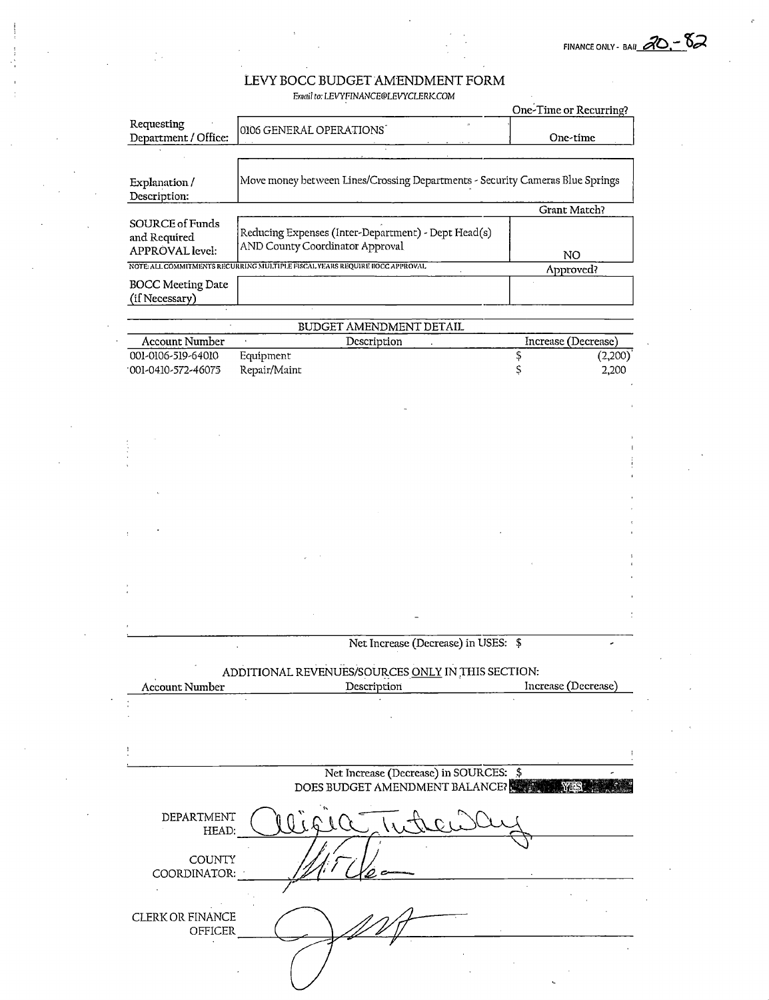Email to: LEVYFINANCE@LEVYCLERK.COM

|                                                    |                                                                                        | One-Time or Recurring? |         |
|----------------------------------------------------|----------------------------------------------------------------------------------------|------------------------|---------|
| Requesting<br>Department / Office:                 | 0106 GENERAL OPERATIONS                                                                | One-time               |         |
|                                                    |                                                                                        |                        |         |
| Explanation /<br>Description:                      | Move money between Lines/Crossing Departments - Security Cameras Blue Springs          |                        |         |
|                                                    |                                                                                        | Grant Match?           |         |
| SOURCE of Funds<br>and Required<br>APPROVAL level: | Reducing Expenses (Inter-Department) - Dept Head(s)<br>AND County Coordinator Approval | NO                     |         |
|                                                    | NOTE ALL COMMITMENTS RECURRING MULTIPLE FISCAL YEARS REQUIRE BOCC APPROVAL             | Approved?              |         |
| <b>BOCC Meeting Date</b><br>(if Necessary)         |                                                                                        |                        |         |
|                                                    | BUDGET AMENDMENT DETAIL                                                                |                        |         |
| Account Number                                     | Description                                                                            | Increase (Decrease)    |         |
| 001-0106-519-64010                                 | Equipment                                                                              | Ş                      | (2,200) |
| 001-0410-572-46075                                 | Repair/Maint                                                                           | Ş                      | 2,200   |
|                                                    |                                                                                        |                        |         |
|                                                    |                                                                                        |                        |         |
|                                                    |                                                                                        |                        |         |
|                                                    |                                                                                        |                        |         |
|                                                    |                                                                                        |                        |         |
|                                                    |                                                                                        |                        |         |
|                                                    |                                                                                        |                        |         |
|                                                    |                                                                                        |                        |         |
|                                                    |                                                                                        |                        |         |
|                                                    |                                                                                        |                        |         |
|                                                    |                                                                                        |                        |         |
|                                                    |                                                                                        |                        |         |
|                                                    |                                                                                        |                        |         |
|                                                    |                                                                                        |                        |         |
|                                                    | Net Increase (Decrease) in USES: \$                                                    |                        |         |
|                                                    | ADDITIONAL REVENUES/SOURCES ONLY IN THIS SECTION:                                      |                        |         |
| <b>Account Number</b>                              | Description                                                                            | Increase (Decrease)    |         |
|                                                    |                                                                                        |                        |         |
|                                                    |                                                                                        |                        |         |
|                                                    |                                                                                        |                        |         |
|                                                    |                                                                                        |                        |         |
|                                                    | Net Increase (Decrease) in SOURCES: \$                                                 |                        |         |
|                                                    | DOES BUDGET AMENDMENT BALANCE?                                                         | <b>YES</b>             |         |
| DEPARTMENT<br>HEAD:                                |                                                                                        |                        |         |
|                                                    |                                                                                        |                        |         |
| COUNTY                                             |                                                                                        |                        |         |
| COORDINATOR:                                       |                                                                                        |                        |         |
|                                                    |                                                                                        |                        |         |
| CLERK OR FINANCE                                   |                                                                                        |                        |         |
| OFFICER                                            |                                                                                        |                        |         |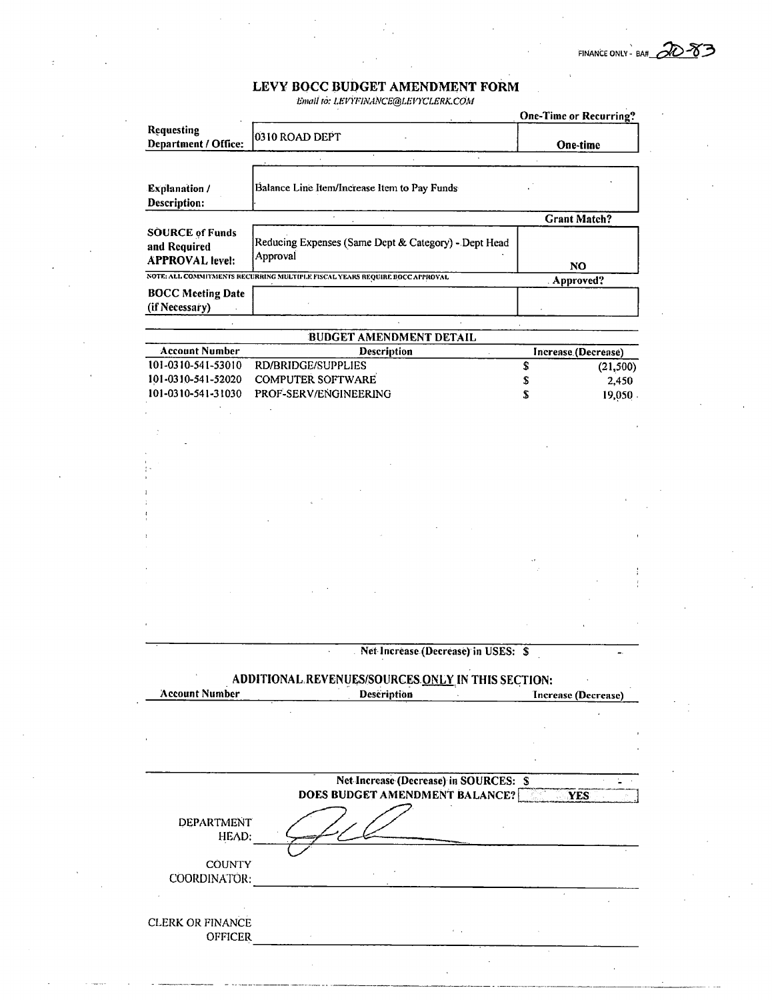FINANCE ONLY - BAH

limall to: l.EVYFlNANCE@LEnVLERK.COM

|                                                                  |                                                                                       | <b>One-Time or Recurring?</b> |                 |
|------------------------------------------------------------------|---------------------------------------------------------------------------------------|-------------------------------|-----------------|
| Requesting<br>Department / Office:                               | 0310 ROAD DEPT                                                                        | One-time                      |                 |
|                                                                  |                                                                                       |                               |                 |
| <b>Explanation</b> /<br>Description:                             | Balance Line Item/Increase Item to Pay Funds                                          |                               |                 |
|                                                                  |                                                                                       | <b>Grant Match?</b>           |                 |
| <b>SOURCE of Funds</b><br>and Required<br><b>APPROVAL</b> level: | Reducing Expenses (Same Dept & Category) - Dept Head<br>Approval                      |                               |                 |
|                                                                  | NOTE: ALL COMMITMENTS RECURRING MULTIPLE FISCAL YEARS REQUIRE BOCC APPROVAL           | <b>NO</b><br>Approved?        |                 |
| <b>BOCC Meeting Date</b><br>(if Necessary)                       |                                                                                       |                               |                 |
|                                                                  |                                                                                       |                               |                 |
|                                                                  | <b>BUDGET AMENDMENT DETAIL</b>                                                        |                               |                 |
| <b>Account Number</b><br>101-0310-541-53010                      | Description<br>RD/BRIDGE/SUPPLIES                                                     | Increase (Decrease)<br>\$     |                 |
| 101-0310-541-52020                                               | <b>COMPUTER SOFTWARE</b>                                                              |                               | (21, 500)       |
| 101-0310-541-31030                                               | PROF-SERV/ENGINEERING                                                                 | \$<br>\$                      | 2,450<br>19,050 |
|                                                                  |                                                                                       |                               |                 |
|                                                                  |                                                                                       |                               |                 |
|                                                                  |                                                                                       |                               |                 |
|                                                                  |                                                                                       |                               |                 |
|                                                                  |                                                                                       |                               |                 |
|                                                                  |                                                                                       |                               |                 |
|                                                                  |                                                                                       |                               |                 |
|                                                                  |                                                                                       |                               |                 |
|                                                                  |                                                                                       |                               |                 |
|                                                                  |                                                                                       |                               |                 |
|                                                                  |                                                                                       |                               |                 |
|                                                                  |                                                                                       |                               |                 |
|                                                                  |                                                                                       |                               |                 |
|                                                                  |                                                                                       |                               |                 |
|                                                                  |                                                                                       |                               |                 |
|                                                                  |                                                                                       |                               |                 |
|                                                                  | Net Increase (Decrease) in USES: \$                                                   |                               |                 |
| <b>Account Number</b>                                            | <b>ADDITIONAL REVENUES/SOURCES <u>ONLY</u> IN THIS SECTION:</b><br><b>Description</b> | <b>Increase (Decrease)</b>    |                 |
|                                                                  |                                                                                       |                               |                 |
|                                                                  |                                                                                       |                               |                 |
|                                                                  |                                                                                       |                               |                 |
|                                                                  |                                                                                       |                               |                 |
|                                                                  |                                                                                       |                               |                 |
|                                                                  | Net-Increase (Decrease) in SOURCES: \$                                                |                               |                 |
|                                                                  | DOES BUDGET AMENDMENT BALANCE?                                                        | YES                           |                 |
| <b>DEPARTMENT</b>                                                |                                                                                       |                               |                 |
| HEAD:                                                            |                                                                                       |                               |                 |
|                                                                  |                                                                                       |                               |                 |
| <b>COUNTY</b>                                                    |                                                                                       |                               |                 |
| COORDINATOR:                                                     |                                                                                       |                               |                 |
|                                                                  |                                                                                       |                               |                 |
|                                                                  |                                                                                       |                               |                 |
| <b>CLERK OR FINANCE</b>                                          |                                                                                       |                               |                 |
| <b>OFFICER</b>                                                   |                                                                                       |                               |                 |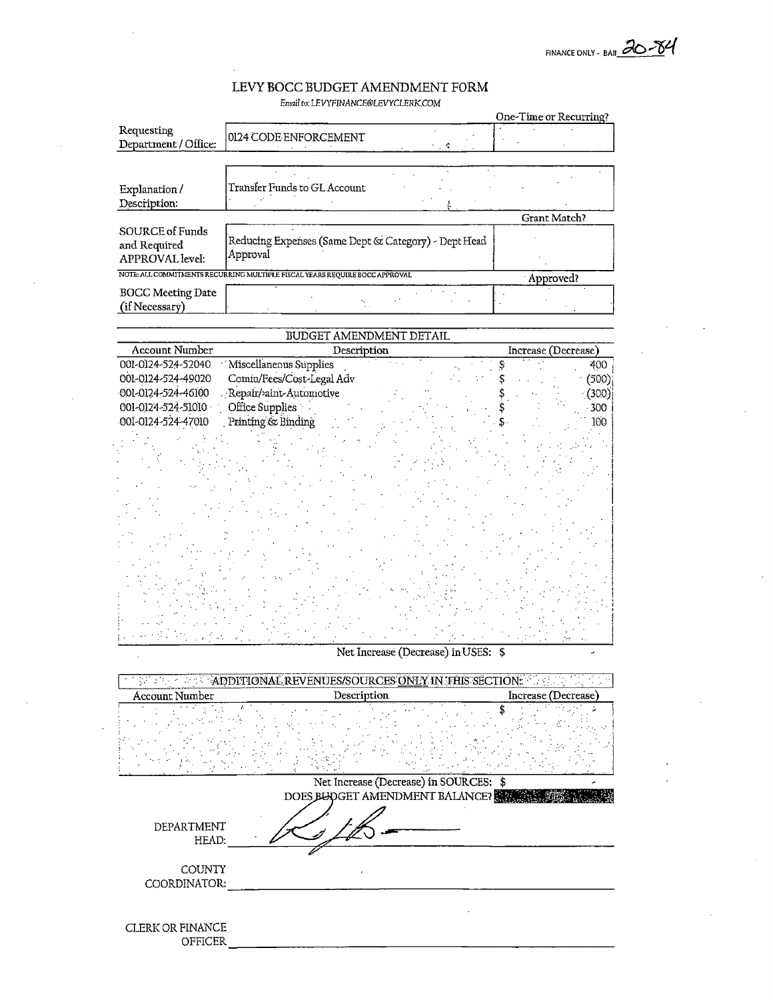$\omega$ 

### LEVY BOCC BUDGET AMENDMENT FORM

|                          | Email to: LEVYFINANCE@LEVYCLERK.COM                                         |                        |
|--------------------------|-----------------------------------------------------------------------------|------------------------|
|                          |                                                                             | One-Time or Recurring? |
| Requesting               |                                                                             |                        |
| Department / Office:     | 0124 CODE ENFORCEMENT<br>- 4                                                |                        |
|                          |                                                                             |                        |
|                          |                                                                             |                        |
| Explanation /            | <b>Transfer Funds to GL Account</b>                                         |                        |
| Description:             |                                                                             |                        |
|                          |                                                                             | Grant Match?           |
| SOURCE of Funds          |                                                                             |                        |
| and Required             | Reducing Expenses (Same Dept & Category) - Dept Head                        |                        |
| <b>APPROVAL</b> level:   | Approval                                                                    |                        |
|                          |                                                                             |                        |
|                          | NOTE: ALL COMMITMENTS RECURRING MULTIPLE FISCAL YEARS REQUIRE BOCC APPROVAL | Approved?              |
| <b>BOCC Meeting Date</b> |                                                                             |                        |
| (if Necessary)           |                                                                             |                        |
|                          |                                                                             |                        |
|                          | <b>BUDGET AMENDMENT DETAIL</b>                                              |                        |
| <b>Account Number</b>    | Description                                                                 | Increase (Decrease)    |
| 001-0124-524-52040       | Miscellaneous Supplies                                                      | \$<br>400              |
| 001-0124-524-49020       | Comm/Fees/Cost-Legal Adv.                                                   | (500)                  |
| 001-0124-524-46100       | Repair/aint-Automotive                                                      | (300)                  |
| 001-0124-524-51010       | Office Supplies                                                             | $-300$                 |
| 001-0124-524-47010       | Printing & Binding                                                          | 100                    |
|                          |                                                                             |                        |
|                          |                                                                             |                        |
|                          |                                                                             |                        |
|                          |                                                                             |                        |
|                          |                                                                             |                        |
|                          |                                                                             |                        |
|                          |                                                                             |                        |
|                          |                                                                             |                        |
|                          |                                                                             |                        |
|                          |                                                                             |                        |
|                          |                                                                             |                        |
|                          |                                                                             |                        |
|                          |                                                                             |                        |
|                          |                                                                             |                        |
|                          |                                                                             |                        |
|                          |                                                                             |                        |

Net Increase (Decrease) in USES: \$

|                                    | ADDITIONAL REVENUES/SOURCES ONLY IN THIS SECTION: |                     |
|------------------------------------|---------------------------------------------------|---------------------|
| Account Number                     | Description                                       | Increase (Decrease) |
|                                    |                                                   |                     |
|                                    | Net Increase (Decrease) in SOURCES: \$            |                     |
| DEPARTMENT<br>HEAD.                | DOES BUDGET AMENDMENT BALANCE?                    |                     |
| <b>COUNTY</b>                      |                                                   |                     |
| COORDINATOR:                       |                                                   |                     |
| <b>CLERK OR FINANCE</b><br>OFFICER |                                                   |                     |

 $\ddot{\phantom{1}}$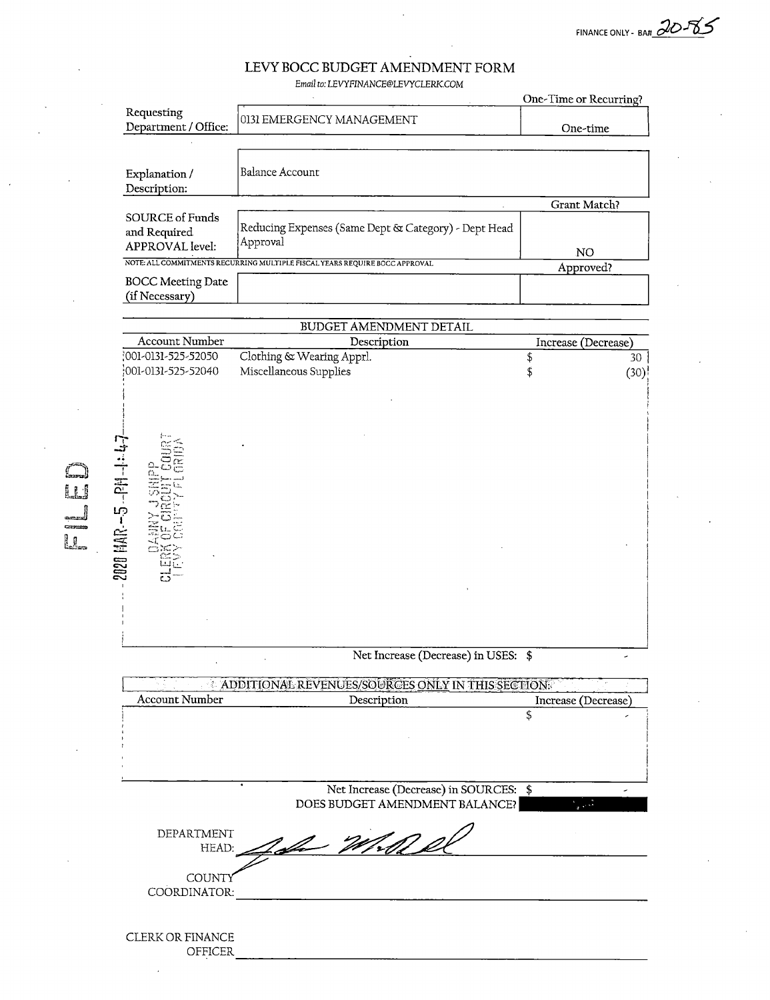FINANCE ONLY - BAN 20-55

|                                                           | Email to: LEVYFINANCE@LEVYCLERK.COM                                        |                           |                         |
|-----------------------------------------------------------|----------------------------------------------------------------------------|---------------------------|-------------------------|
|                                                           |                                                                            | One-Time or Recurring?    |                         |
| Requesting<br>Department / Office:                        | 0131 EMERGENCY MANAGEMENT                                                  | One-time                  |                         |
|                                                           |                                                                            |                           |                         |
| Explanation /<br>Description:                             | <b>Balance Account</b>                                                     |                           |                         |
|                                                           |                                                                            | Grant Match?              |                         |
| <b>SOURCE of Funds</b><br>and Required<br>APPROVAL level: | Reducing Expenses (Same Dept & Category) - Dept Head<br>Approval           | N <sub>O</sub>            |                         |
|                                                           | NOTE ALL COMMITMENTS RECURRING MULTIPLE FISCAL YEARS REQUIRE BOCC APPROVAL | Approved?                 |                         |
| <b>BOCC Meeting Date</b><br>(if Necessary)                |                                                                            |                           |                         |
|                                                           |                                                                            |                           |                         |
| <b>Account Number</b>                                     | BUDGET AMENDMENT DETAIL                                                    |                           |                         |
| (001-0131-525-52050                                       | Description<br>Clothing & Wearing Apprl.                                   | Increase (Decrease)<br>\$ |                         |
| 001-0131-525-52040                                        | Miscellaneous Supplies                                                     | \$                        | 30 <sup>1</sup><br>(30) |
|                                                           |                                                                            |                           |                         |
|                                                           |                                                                            |                           |                         |
|                                                           |                                                                            |                           |                         |
|                                                           |                                                                            |                           |                         |
|                                                           |                                                                            |                           |                         |
|                                                           |                                                                            |                           |                         |
|                                                           |                                                                            |                           |                         |
|                                                           |                                                                            |                           |                         |
|                                                           |                                                                            |                           |                         |
|                                                           |                                                                            |                           |                         |
|                                                           |                                                                            |                           |                         |
|                                                           |                                                                            |                           |                         |
| 8- 1880 BBI                                               |                                                                            |                           |                         |
|                                                           |                                                                            |                           |                         |
|                                                           |                                                                            |                           |                         |
|                                                           |                                                                            |                           |                         |
|                                                           |                                                                            |                           |                         |
|                                                           |                                                                            |                           |                         |
|                                                           | Net Increase (Decrease) in USES: \$                                        |                           |                         |
|                                                           | <b>ADDITIONAL REVENUES/SOURCES ONLY IN THIS SECTION:</b>                   |                           |                         |
| <b>Account Number</b>                                     | Description                                                                | Increase (Decrease)       |                         |
|                                                           |                                                                            | \$                        |                         |
|                                                           |                                                                            |                           |                         |
|                                                           |                                                                            |                           |                         |
|                                                           |                                                                            |                           |                         |
|                                                           | Net Increase (Decrease) in SOURCES: \$                                     |                           |                         |
|                                                           | DOES BUDGET AMENDMENT BALANCE?                                             |                           |                         |
|                                                           |                                                                            |                           |                         |
| DEPARTMENT<br>HEAD:                                       | WMD 21<br>! She                                                            |                           |                         |
|                                                           |                                                                            |                           |                         |
| COUNTY                                                    |                                                                            |                           |                         |
| COORDINATOR:                                              |                                                                            |                           |                         |

CLERK OR FINANCE OFFICER